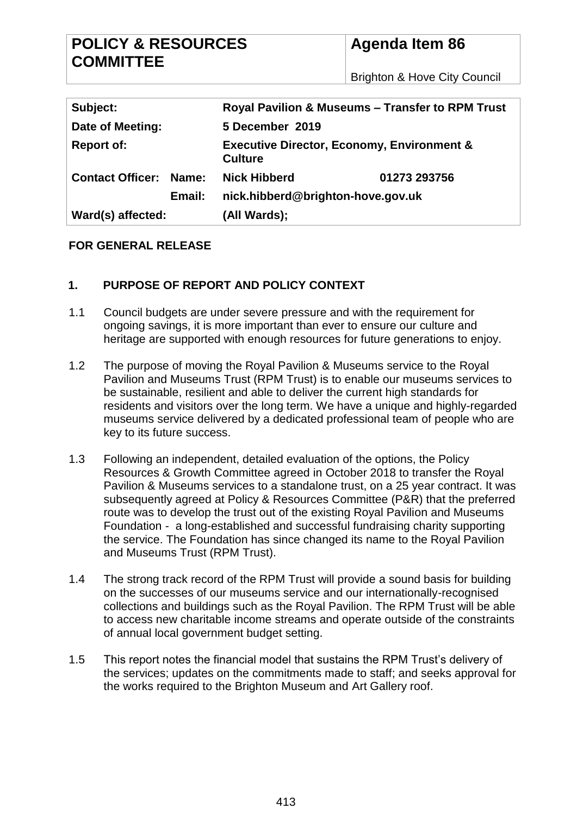| <b>POLICY &amp; RESOURCES</b><br><b>COMMITTEE</b> |                                                                         | <b>Agenda Item 86</b>                   |  |  |  |
|---------------------------------------------------|-------------------------------------------------------------------------|-----------------------------------------|--|--|--|
|                                                   |                                                                         | <b>Brighton &amp; Hove City Council</b> |  |  |  |
|                                                   |                                                                         |                                         |  |  |  |
| Subject:                                          | <b>Royal Pavilion &amp; Museums - Transfer to RPM Trust</b>             |                                         |  |  |  |
| Date of Meeting:                                  | 5 December 2019                                                         |                                         |  |  |  |
| <b>Report of:</b>                                 | <b>Executive Director, Economy, Environment &amp;</b><br><b>Culture</b> |                                         |  |  |  |
| <b>Contact Officer:</b><br>Name:                  | <b>Nick Hibberd</b>                                                     | 01273 293756                            |  |  |  |
| Email:                                            | nick.hibberd@brighton-hove.gov.uk                                       |                                         |  |  |  |
| Ward(s) affected:                                 | (All Wards);                                                            |                                         |  |  |  |

#### **FOR GENERAL RELEASE**

#### **1. PURPOSE OF REPORT AND POLICY CONTEXT**

- 1.1 Council budgets are under severe pressure and with the requirement for ongoing savings, it is more important than ever to ensure our culture and heritage are supported with enough resources for future generations to enjoy.
- 1.2 The purpose of moving the Royal Pavilion & Museums service to the Royal Pavilion and Museums Trust (RPM Trust) is to enable our museums services to be sustainable, resilient and able to deliver the current high standards for residents and visitors over the long term. We have a unique and highly-regarded museums service delivered by a dedicated professional team of people who are key to its future success.
- 1.3 Following an independent, detailed evaluation of the options, the Policy Resources & Growth Committee agreed in October 2018 to transfer the Royal Pavilion & Museums services to a standalone trust, on a 25 year contract. It was subsequently agreed at Policy & Resources Committee (P&R) that the preferred route was to develop the trust out of the existing Royal Pavilion and Museums Foundation - a long-established and successful fundraising charity supporting the service. The Foundation has since changed its name to the Royal Pavilion and Museums Trust (RPM Trust).
- 1.4 The strong track record of the RPM Trust will provide a sound basis for building on the successes of our museums service and our internationally-recognised collections and buildings such as the Royal Pavilion. The RPM Trust will be able to access new charitable income streams and operate outside of the constraints of annual local government budget setting.
- 1.5 This report notes the financial model that sustains the RPM Trust's delivery of the services; updates on the commitments made to staff; and seeks approval for the works required to the Brighton Museum and Art Gallery roof.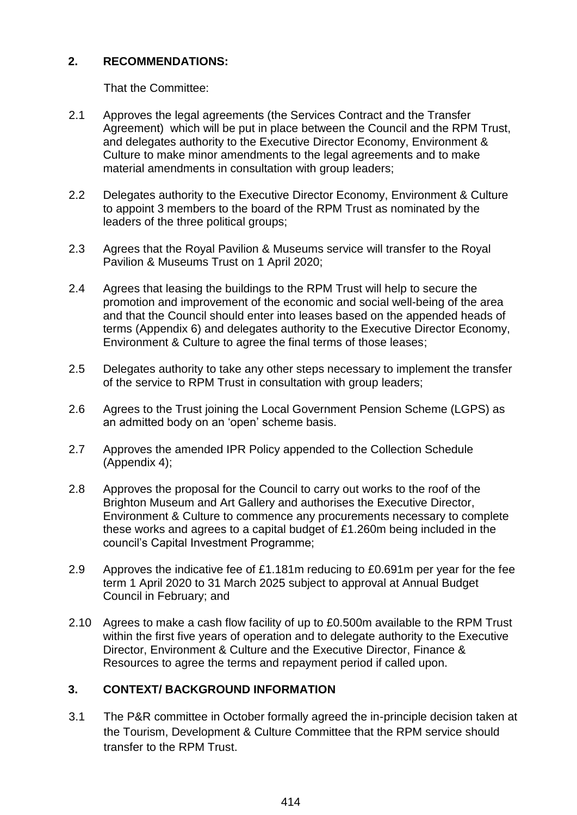## **2. RECOMMENDATIONS:**

That the Committee:

- 2.1 Approves the legal agreements (the Services Contract and the Transfer Agreement) which will be put in place between the Council and the RPM Trust, and delegates authority to the Executive Director Economy, Environment & Culture to make minor amendments to the legal agreements and to make material amendments in consultation with group leaders;
- 2.2 Delegates authority to the Executive Director Economy, Environment & Culture to appoint 3 members to the board of the RPM Trust as nominated by the leaders of the three political groups;
- 2.3 Agrees that the Royal Pavilion & Museums service will transfer to the Royal Pavilion & Museums Trust on 1 April 2020;
- 2.4 Agrees that leasing the buildings to the RPM Trust will help to secure the promotion and improvement of the economic and social well-being of the area and that the Council should enter into leases based on the appended heads of terms (Appendix 6) and delegates authority to the Executive Director Economy, Environment & Culture to agree the final terms of those leases;
- 2.5 Delegates authority to take any other steps necessary to implement the transfer of the service to RPM Trust in consultation with group leaders;
- 2.6 Agrees to the Trust joining the Local Government Pension Scheme (LGPS) as an admitted body on an 'open' scheme basis.
- 2.7 Approves the amended IPR Policy appended to the Collection Schedule (Appendix 4);
- 2.8 Approves the proposal for the Council to carry out works to the roof of the Brighton Museum and Art Gallery and authorises the Executive Director, Environment & Culture to commence any procurements necessary to complete these works and agrees to a capital budget of £1.260m being included in the council's Capital Investment Programme;
- 2.9 Approves the indicative fee of £1.181m reducing to £0.691m per year for the fee term 1 April 2020 to 31 March 2025 subject to approval at Annual Budget Council in February; and
- 2.10 Agrees to make a cash flow facility of up to £0.500m available to the RPM Trust within the first five years of operation and to delegate authority to the Executive Director, Environment & Culture and the Executive Director, Finance & Resources to agree the terms and repayment period if called upon.

# **3. CONTEXT/ BACKGROUND INFORMATION**

3.1 The P&R committee in October formally agreed the in-principle decision taken at the Tourism, Development & Culture Committee that the RPM service should transfer to the RPM Trust.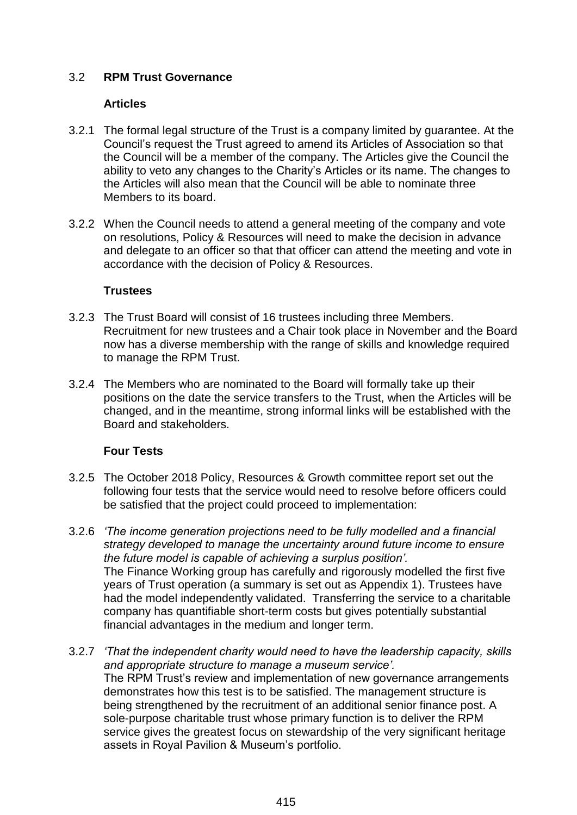### 3.2 **RPM Trust Governance**

#### **Articles**

- 3.2.1 The formal legal structure of the Trust is a company limited by guarantee. At the Council's request the Trust agreed to amend its Articles of Association so that the Council will be a member of the company. The Articles give the Council the ability to veto any changes to the Charity's Articles or its name. The changes to the Articles will also mean that the Council will be able to nominate three Members to its board.
- 3.2.2 When the Council needs to attend a general meeting of the company and vote on resolutions, Policy & Resources will need to make the decision in advance and delegate to an officer so that that officer can attend the meeting and vote in accordance with the decision of Policy & Resources.

#### **Trustees**

- 3.2.3 The Trust Board will consist of 16 trustees including three Members. Recruitment for new trustees and a Chair took place in November and the Board now has a diverse membership with the range of skills and knowledge required to manage the RPM Trust.
- 3.2.4 The Members who are nominated to the Board will formally take up their positions on the date the service transfers to the Trust, when the Articles will be changed, and in the meantime, strong informal links will be established with the Board and stakeholders.

### **Four Tests**

- 3.2.5 The October 2018 Policy, Resources & Growth committee report set out the following four tests that the service would need to resolve before officers could be satisfied that the project could proceed to implementation:
- 3.2.6 *'The income generation projections need to be fully modelled and a financial strategy developed to manage the uncertainty around future income to ensure the future model is capable of achieving a surplus position'.* The Finance Working group has carefully and rigorously modelled the first five years of Trust operation (a summary is set out as Appendix 1). Trustees have had the model independently validated. Transferring the service to a charitable company has quantifiable short-term costs but gives potentially substantial financial advantages in the medium and longer term.
- 3.2.7 *'That the independent charity would need to have the leadership capacity, skills and appropriate structure to manage a museum service'.*  The RPM Trust's review and implementation of new governance arrangements demonstrates how this test is to be satisfied. The management structure is being strengthened by the recruitment of an additional senior finance post. A sole-purpose charitable trust whose primary function is to deliver the RPM service gives the greatest focus on stewardship of the very significant heritage assets in Royal Pavilion & Museum's portfolio.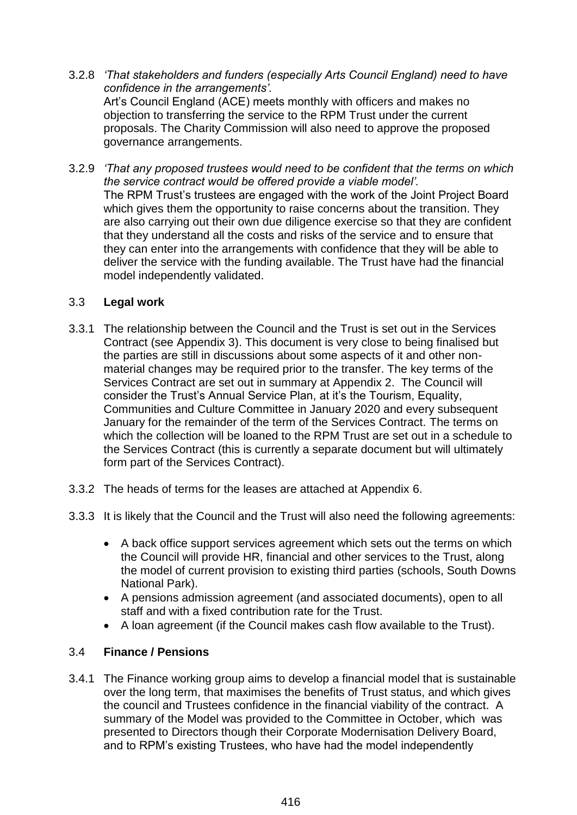3.2.8 *'That stakeholders and funders (especially Arts Council England) need to have confidence in the arrangements'.*  Art's Council England (ACE) meets monthly with officers and makes no objection to transferring the service to the RPM Trust under the current proposals. The Charity Commission will also need to approve the proposed

governance arrangements.

3.2.9 *'That any proposed trustees would need to be confident that the terms on which the service contract would be offered provide a viable model'.*  The RPM Trust's trustees are engaged with the work of the Joint Project Board which gives them the opportunity to raise concerns about the transition. They are also carrying out their own due diligence exercise so that they are confident that they understand all the costs and risks of the service and to ensure that they can enter into the arrangements with confidence that they will be able to deliver the service with the funding available. The Trust have had the financial model independently validated.

## 3.3 **Legal work**

- 3.3.1 The relationship between the Council and the Trust is set out in the Services Contract (see Appendix 3). This document is very close to being finalised but the parties are still in discussions about some aspects of it and other nonmaterial changes may be required prior to the transfer. The key terms of the Services Contract are set out in summary at Appendix 2. The Council will consider the Trust's Annual Service Plan, at it's the Tourism, Equality, Communities and Culture Committee in January 2020 and every subsequent January for the remainder of the term of the Services Contract. The terms on which the collection will be loaned to the RPM Trust are set out in a schedule to the Services Contract (this is currently a separate document but will ultimately form part of the Services Contract).
- 3.3.2 The heads of terms for the leases are attached at Appendix 6.
- 3.3.3 It is likely that the Council and the Trust will also need the following agreements:
	- A back office support services agreement which sets out the terms on which the Council will provide HR, financial and other services to the Trust, along the model of current provision to existing third parties (schools, South Downs National Park).
	- A pensions admission agreement (and associated documents), open to all staff and with a fixed contribution rate for the Trust.
	- A loan agreement (if the Council makes cash flow available to the Trust).

# <span id="page-3-0"></span>3.4 **Finance / Pensions**

3.4.1 The Finance working group aims to develop a financial model that is sustainable over the long term, that maximises the benefits of Trust status, and which gives the council and Trustees confidence in the financial viability of the contract. A summary of the Model was provided to the Committee in October, which was presented to Directors though their Corporate Modernisation Delivery Board, and to RPM's existing Trustees, who have had the model independently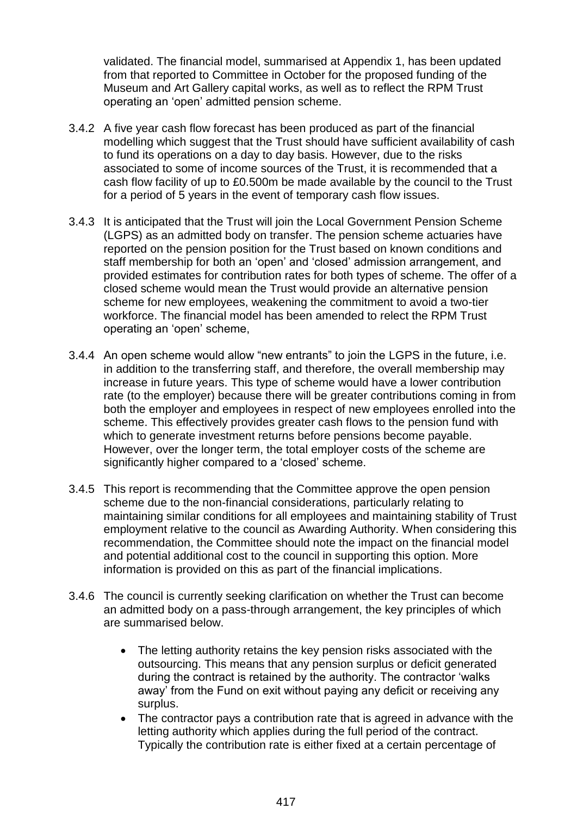validated. The financial model, summarised at Appendix 1, has been updated from that reported to Committee in October for the proposed funding of the Museum and Art Gallery capital works, as well as to reflect the RPM Trust operating an 'open' admitted pension scheme.

- 3.4.2 A five year cash flow forecast has been produced as part of the financial modelling which suggest that the Trust should have sufficient availability of cash to fund its operations on a day to day basis. However, due to the risks associated to some of income sources of the Trust, it is recommended that a cash flow facility of up to £0.500m be made available by the council to the Trust for a period of 5 years in the event of temporary cash flow issues.
- 3.4.3 It is anticipated that the Trust will join the Local Government Pension Scheme (LGPS) as an admitted body on transfer. The pension scheme actuaries have reported on the pension position for the Trust based on known conditions and staff membership for both an 'open' and 'closed' admission arrangement, and provided estimates for contribution rates for both types of scheme. The offer of a closed scheme would mean the Trust would provide an alternative pension scheme for new employees, weakening the commitment to avoid a two-tier workforce. The financial model has been amended to relect the RPM Trust operating an 'open' scheme,
- 3.4.4 An open scheme would allow "new entrants" to join the LGPS in the future, i.e. in addition to the transferring staff, and therefore, the overall membership may increase in future years. This type of scheme would have a lower contribution rate (to the employer) because there will be greater contributions coming in from both the employer and employees in respect of new employees enrolled into the scheme. This effectively provides greater cash flows to the pension fund with which to generate investment returns before pensions become payable. However, over the longer term, the total employer costs of the scheme are significantly higher compared to a 'closed' scheme.
- 3.4.5 This report is recommending that the Committee approve the open pension scheme due to the non-financial considerations, particularly relating to maintaining similar conditions for all employees and maintaining stability of Trust employment relative to the council as Awarding Authority. When considering this recommendation, the Committee should note the impact on the financial model and potential additional cost to the council in supporting this option. More information is provided on this as part of the financial implications.
- 3.4.6 The council is currently seeking clarification on whether the Trust can become an admitted body on a pass-through arrangement, the key principles of which are summarised below.
	- The letting authority retains the key pension risks associated with the outsourcing. This means that any pension surplus or deficit generated during the contract is retained by the authority. The contractor 'walks away' from the Fund on exit without paying any deficit or receiving any surplus.
	- The contractor pays a contribution rate that is agreed in advance with the letting authority which applies during the full period of the contract. Typically the contribution rate is either fixed at a certain percentage of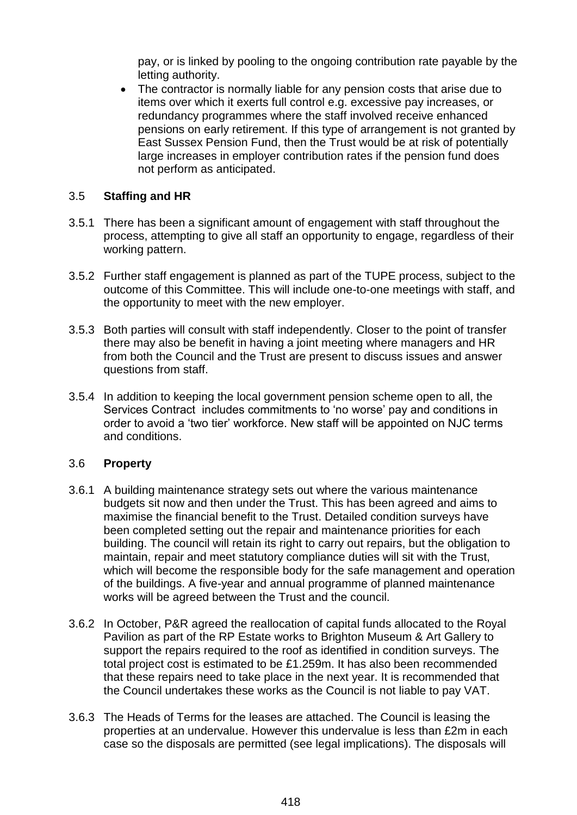pay, or is linked by pooling to the ongoing contribution rate payable by the letting authority.

• The contractor is normally liable for any pension costs that arise due to items over which it exerts full control e.g. excessive pay increases, or redundancy programmes where the staff involved receive enhanced pensions on early retirement. If this type of arrangement is not granted by East Sussex Pension Fund, then the Trust would be at risk of potentially large increases in employer contribution rates if the pension fund does not perform as anticipated.

### 3.5 **Staffing and HR**

- 3.5.1 There has been a significant amount of engagement with staff throughout the process, attempting to give all staff an opportunity to engage, regardless of their working pattern.
- 3.5.2 Further staff engagement is planned as part of the TUPE process, subject to the outcome of this Committee. This will include one-to-one meetings with staff, and the opportunity to meet with the new employer.
- 3.5.3 Both parties will consult with staff independently. Closer to the point of transfer there may also be benefit in having a joint meeting where managers and HR from both the Council and the Trust are present to discuss issues and answer questions from staff.
- 3.5.4 In addition to keeping the local government pension scheme open to all, the Services Contract includes commitments to 'no worse' pay and conditions in order to avoid a 'two tier' workforce. New staff will be appointed on NJC terms and conditions.

#### 3.6 **Property**

- 3.6.1 A building maintenance strategy sets out where the various maintenance budgets sit now and then under the Trust. This has been agreed and aims to maximise the financial benefit to the Trust. Detailed condition surveys have been completed setting out the repair and maintenance priorities for each building. The council will retain its right to carry out repairs, but the obligation to maintain, repair and meet statutory compliance duties will sit with the Trust, which will become the responsible body for the safe management and operation of the buildings. A five-year and annual programme of planned maintenance works will be agreed between the Trust and the council.
- 3.6.2 In October, P&R agreed the reallocation of capital funds allocated to the Royal Pavilion as part of the RP Estate works to Brighton Museum & Art Gallery to support the repairs required to the roof as identified in condition surveys. The total project cost is estimated to be £1.259m. It has also been recommended that these repairs need to take place in the next year. It is recommended that the Council undertakes these works as the Council is not liable to pay VAT.
- 3.6.3 The Heads of Terms for the leases are attached. The Council is leasing the properties at an undervalue. However this undervalue is less than £2m in each case so the disposals are permitted (see legal implications). The disposals will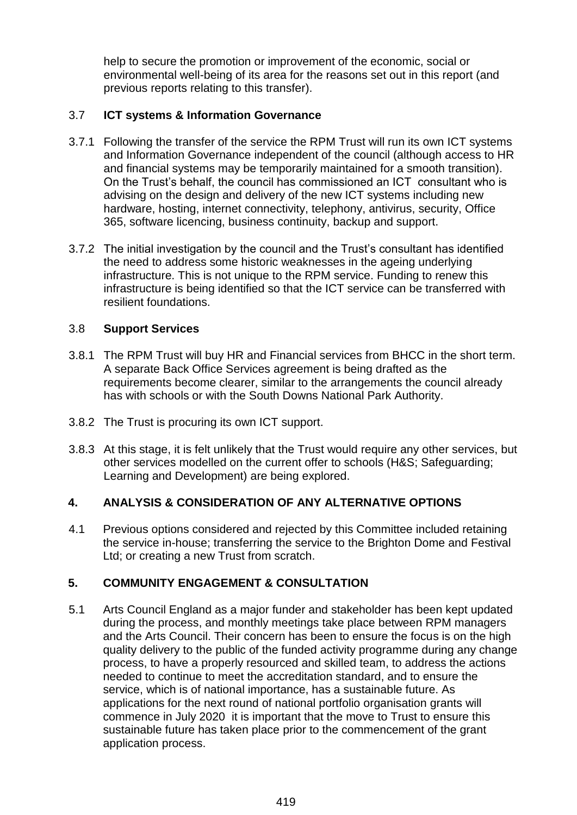help to secure the promotion or improvement of the economic, social or environmental well-being of its area for the reasons set out in this report (and previous reports relating to this transfer).

## 3.7 **ICT systems & Information Governance**

- 3.7.1 Following the transfer of the service the RPM Trust will run its own ICT systems and Information Governance independent of the council (although access to HR and financial systems may be temporarily maintained for a smooth transition). On the Trust's behalf, the council has commissioned an ICT consultant who is advising on the design and delivery of the new ICT systems including new hardware, hosting, internet connectivity, telephony, antivirus, security, Office 365, software licencing, business continuity, backup and support.
- 3.7.2 The initial investigation by the council and the Trust's consultant has identified the need to address some historic weaknesses in the ageing underlying infrastructure. This is not unique to the RPM service. Funding to renew this infrastructure is being identified so that the ICT service can be transferred with resilient foundations.

## 3.8 **Support Services**

- 3.8.1 The RPM Trust will buy HR and Financial services from BHCC in the short term. A separate Back Office Services agreement is being drafted as the requirements become clearer, similar to the arrangements the council already has with schools or with the South Downs National Park Authority.
- 3.8.2 The Trust is procuring its own ICT support.
- 3.8.3 At this stage, it is felt unlikely that the Trust would require any other services, but other services modelled on the current offer to schools (H&S; Safeguarding; Learning and Development) are being explored.

# **4. ANALYSIS & CONSIDERATION OF ANY ALTERNATIVE OPTIONS**

4.1 Previous options considered and rejected by this Committee included retaining the service in-house; transferring the service to the Brighton Dome and Festival Ltd; or creating a new Trust from scratch.

### **5. COMMUNITY ENGAGEMENT & CONSULTATION**

5.1 Arts Council England as a major funder and stakeholder has been kept updated during the process, and monthly meetings take place between RPM managers and the Arts Council. Their concern has been to ensure the focus is on the high quality delivery to the public of the funded activity programme during any change process, to have a properly resourced and skilled team, to address the actions needed to continue to meet the accreditation standard, and to ensure the service, which is of national importance, has a sustainable future. As applications for the next round of national portfolio organisation grants will commence in July 2020 it is important that the move to Trust to ensure this sustainable future has taken place prior to the commencement of the grant application process.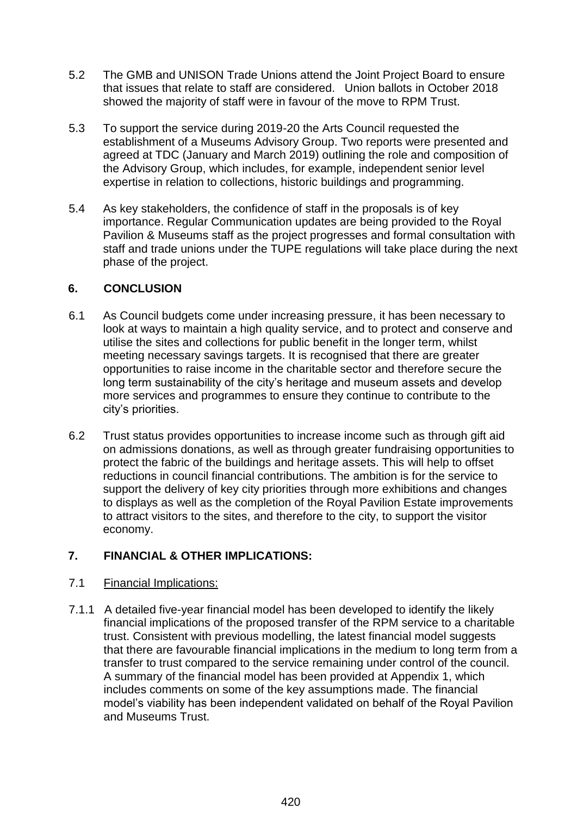- 5.2 The GMB and UNISON Trade Unions attend the Joint Project Board to ensure that issues that relate to staff are considered. Union ballots in October 2018 showed the majority of staff were in favour of the move to RPM Trust.
- 5.3 To support the service during 2019-20 the Arts Council requested the establishment of a Museums Advisory Group. Two reports were presented and agreed at TDC (January and March 2019) outlining the role and composition of the Advisory Group, which includes, for example, independent senior level expertise in relation to collections, historic buildings and programming.
- 5.4 As key stakeholders, the confidence of staff in the proposals is of key importance. Regular Communication updates are being provided to the Royal Pavilion & Museums staff as the project progresses and formal consultation with staff and trade unions under the TUPE regulations will take place during the next phase of the project.

### **6. CONCLUSION**

- 6.1 As Council budgets come under increasing pressure, it has been necessary to look at ways to maintain a high quality service, and to protect and conserve and utilise the sites and collections for public benefit in the longer term, whilst meeting necessary savings targets. It is recognised that there are greater opportunities to raise income in the charitable sector and therefore secure the long term sustainability of the city's heritage and museum assets and develop more services and programmes to ensure they continue to contribute to the city's priorities.
- 6.2 Trust status provides opportunities to increase income such as through gift aid on admissions donations, as well as through greater fundraising opportunities to protect the fabric of the buildings and heritage assets. This will help to offset reductions in council financial contributions. The ambition is for the service to support the delivery of key city priorities through more exhibitions and changes to displays as well as the completion of the Royal Pavilion Estate improvements to attract visitors to the sites, and therefore to the city, to support the visitor economy.

# **7. FINANCIAL & OTHER IMPLICATIONS:**

### 7.1 Financial Implications:

7.1.1 A detailed five-year financial model has been developed to identify the likely financial implications of the proposed transfer of the RPM service to a charitable trust. Consistent with previous modelling, the latest financial model suggests that there are favourable financial implications in the medium to long term from a transfer to trust compared to the service remaining under control of the council. A summary of the financial model has been provided at Appendix 1, which includes comments on some of the key assumptions made. The financial model's viability has been independent validated on behalf of the Royal Pavilion and Museums Trust.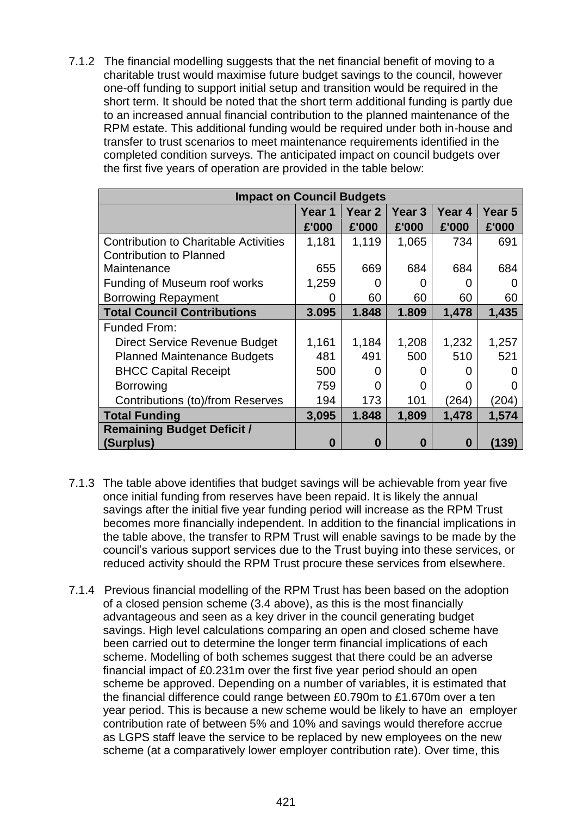7.1.2 The financial modelling suggests that the net financial benefit of moving to a charitable trust would maximise future budget savings to the council, however one-off funding to support initial setup and transition would be required in the short term. It should be noted that the short term additional funding is partly due to an increased annual financial contribution to the planned maintenance of the RPM estate. This additional funding would be required under both in-house and transfer to trust scenarios to meet maintenance requirements identified in the completed condition surveys. The anticipated impact on council budgets over the first five years of operation are provided in the table below:

| <b>Impact on Council Budgets</b>             |        |                   |                   |                   |        |  |  |
|----------------------------------------------|--------|-------------------|-------------------|-------------------|--------|--|--|
|                                              | Year 1 | Year <sub>2</sub> | Year <sub>3</sub> | Year 4            | Year 5 |  |  |
|                                              | £'000  | £'000             | £'000             | £'000             | £'000  |  |  |
| <b>Contribution to Charitable Activities</b> | 1,181  | 1,119             | 1,065             | 734               | 691    |  |  |
| <b>Contribution to Planned</b>               |        |                   |                   |                   |        |  |  |
| Maintenance                                  | 655    | 669               | 684               | 684               | 684    |  |  |
| Funding of Museum roof works                 | 1,259  | O                 | $\mathbf{\Omega}$ |                   |        |  |  |
| <b>Borrowing Repayment</b>                   | 0      | 60                | 60                | 60                | 60     |  |  |
| <b>Total Council Contributions</b>           | 3.095  | 1.848             | 1.809             | 1,478             | 1,435  |  |  |
| Funded From:                                 |        |                   |                   |                   |        |  |  |
| <b>Direct Service Revenue Budget</b>         | 1,161  | 1,184             | 1,208             | 1,232             | 1,257  |  |  |
| <b>Planned Maintenance Budgets</b>           | 481    | 491               | 500               | 510               | 521    |  |  |
| <b>BHCC Capital Receipt</b>                  | 500    | 0                 | $\mathbf{0}$      | $\mathbf{\Omega}$ |        |  |  |
| <b>Borrowing</b>                             | 759    | 0                 | 0                 | 0                 |        |  |  |
| Contributions (to)/from Reserves             | 194    | 173               | 101               | (264)             | (204)  |  |  |
| <b>Total Funding</b>                         | 3,095  | 1.848             | 1,809             | 1,478             | 1,574  |  |  |
| <b>Remaining Budget Deficit /</b>            |        |                   |                   |                   |        |  |  |
| (Surplus)                                    | 0      | O                 | O                 | 0                 | (139)  |  |  |

- 7.1.3 The table above identifies that budget savings will be achievable from year five once initial funding from reserves have been repaid. It is likely the annual savings after the initial five year funding period will increase as the RPM Trust becomes more financially independent. In addition to the financial implications in the table above, the transfer to RPM Trust will enable savings to be made by the council's various support services due to the Trust buying into these services, or reduced activity should the RPM Trust procure these services from elsewhere.
- 7.1.4 Previous financial modelling of the RPM Trust has been based on the adoption of a closed pension scheme [\(3.4](#page-3-0) above), as this is the most financially advantageous and seen as a key driver in the council generating budget savings. High level calculations comparing an open and closed scheme have been carried out to determine the longer term financial implications of each scheme. Modelling of both schemes suggest that there could be an adverse financial impact of £0.231m over the first five year period should an open scheme be approved. Depending on a number of variables, it is estimated that the financial difference could range between £0.790m to £1.670m over a ten year period. This is because a new scheme would be likely to have an employer contribution rate of between 5% and 10% and savings would therefore accrue as LGPS staff leave the service to be replaced by new employees on the new scheme (at a comparatively lower employer contribution rate). Over time, this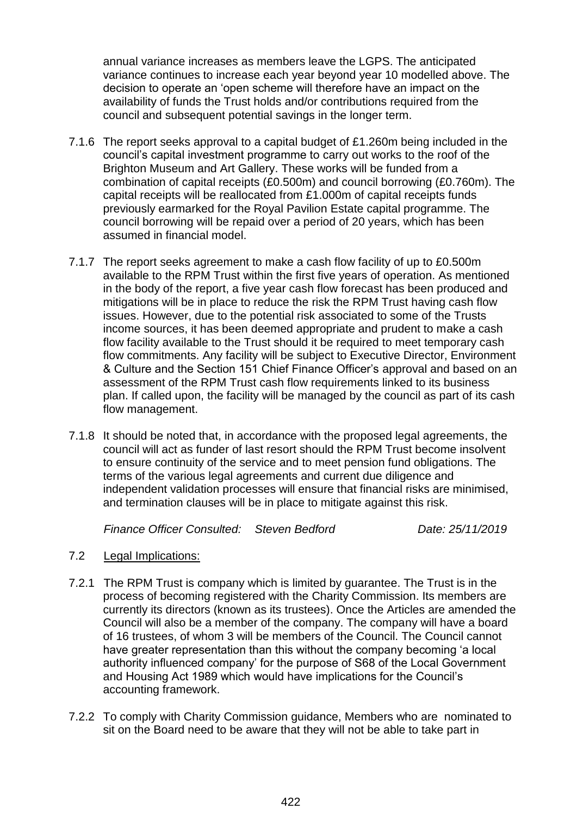annual variance increases as members leave the LGPS. The anticipated variance continues to increase each year beyond year 10 modelled above. The decision to operate an 'open scheme will therefore have an impact on the availability of funds the Trust holds and/or contributions required from the council and subsequent potential savings in the longer term.

- 7.1.6 The report seeks approval to a capital budget of £1.260m being included in the council's capital investment programme to carry out works to the roof of the Brighton Museum and Art Gallery. These works will be funded from a combination of capital receipts (£0.500m) and council borrowing (£0.760m). The capital receipts will be reallocated from £1.000m of capital receipts funds previously earmarked for the Royal Pavilion Estate capital programme. The council borrowing will be repaid over a period of 20 years, which has been assumed in financial model.
- 7.1.7 The report seeks agreement to make a cash flow facility of up to £0.500m available to the RPM Trust within the first five years of operation. As mentioned in the body of the report, a five year cash flow forecast has been produced and mitigations will be in place to reduce the risk the RPM Trust having cash flow issues. However, due to the potential risk associated to some of the Trusts income sources, it has been deemed appropriate and prudent to make a cash flow facility available to the Trust should it be required to meet temporary cash flow commitments. Any facility will be subject to Executive Director, Environment & Culture and the Section 151 Chief Finance Officer's approval and based on an assessment of the RPM Trust cash flow requirements linked to its business plan. If called upon, the facility will be managed by the council as part of its cash flow management.
- 7.1.8 It should be noted that, in accordance with the proposed legal agreements, the council will act as funder of last resort should the RPM Trust become insolvent to ensure continuity of the service and to meet pension fund obligations. The terms of the various legal agreements and current due diligence and independent validation processes will ensure that financial risks are minimised, and termination clauses will be in place to mitigate against this risk.

*Finance Officer Consulted: Steven Bedford Date: 25/11/2019*

- 7.2 Legal Implications:
- 7.2.1 The RPM Trust is company which is limited by guarantee. The Trust is in the process of becoming registered with the Charity Commission. Its members are currently its directors (known as its trustees). Once the Articles are amended the Council will also be a member of the company. The company will have a board of 16 trustees, of whom 3 will be members of the Council. The Council cannot have greater representation than this without the company becoming 'a local authority influenced company' for the purpose of S68 of the Local Government and Housing Act 1989 which would have implications for the Council's accounting framework.
- 7.2.2 To comply with Charity Commission guidance, Members who are nominated to sit on the Board need to be aware that they will not be able to take part in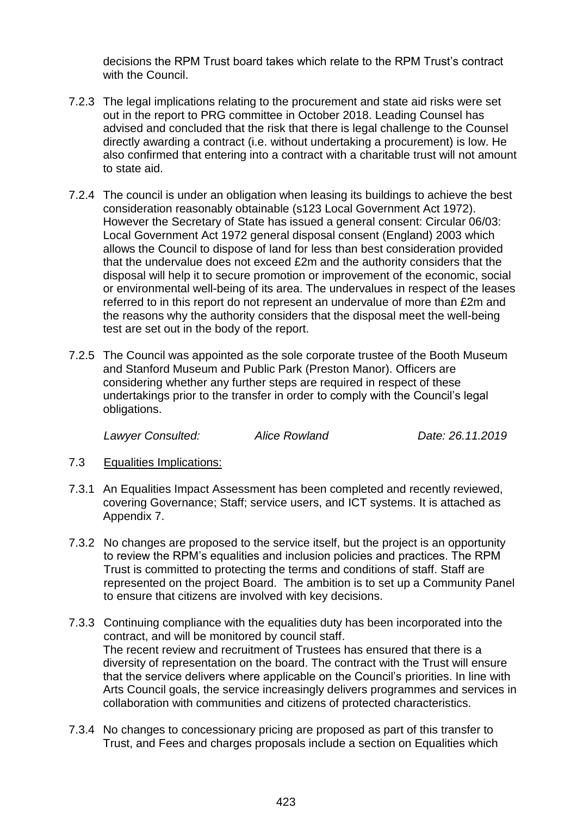decisions the RPM Trust board takes which relate to the RPM Trust's contract with the Council.

- 7.2.3 The legal implications relating to the procurement and state aid risks were set out in the report to PRG committee in October 2018. Leading Counsel has advised and concluded that the risk that there is legal challenge to the Counsel directly awarding a contract (i.e. without undertaking a procurement) is low. He also confirmed that entering into a contract with a charitable trust will not amount to state aid.
- 7.2.4 The council is under an obligation when leasing its buildings to achieve the best consideration reasonably obtainable (s123 Local Government Act 1972). However the Secretary of State has issued a general consent: Circular 06/03: Local Government Act 1972 general disposal consent (England) 2003 which allows the Council to dispose of land for less than best consideration provided that the undervalue does not exceed £2m and the authority considers that the disposal will help it to secure promotion or improvement of the economic, social or environmental well-being of its area. The undervalues in respect of the leases referred to in this report do not represent an undervalue of more than £2m and the reasons why the authority considers that the disposal meet the well-being test are set out in the body of the report.
- 7.2.5 The Council was appointed as the sole corporate trustee of the Booth Museum and Stanford Museum and Public Park (Preston Manor). Officers are considering whether any further steps are required in respect of these undertakings prior to the transfer in order to comply with the Council's legal obligations.

*Lawyer Consulted: Alice Rowland Date: 26.11.2019* 

- 7.3 Equalities Implications:
- 7.3.1 An Equalities Impact Assessment has been completed and recently reviewed, covering Governance; Staff; service users, and ICT systems. It is attached as Appendix 7.
- 7.3.2 No changes are proposed to the service itself, but the project is an opportunity to review the RPM's equalities and inclusion policies and practices. The RPM Trust is committed to protecting the terms and conditions of staff. Staff are represented on the project Board. The ambition is to set up a Community Panel to ensure that citizens are involved with key decisions.
- 7.3.3 Continuing compliance with the equalities duty has been incorporated into the contract, and will be monitored by council staff. The recent review and recruitment of Trustees has ensured that there is a diversity of representation on the board. The contract with the Trust will ensure that the service delivers where applicable on the Council's priorities. In line with Arts Council goals, the service increasingly delivers programmes and services in collaboration with communities and citizens of protected characteristics.
- 7.3.4 No changes to concessionary pricing are proposed as part of this transfer to Trust, and Fees and charges proposals include a section on Equalities which